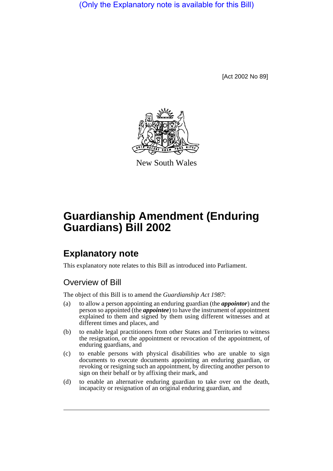(Only the Explanatory note is available for this Bill)

[Act 2002 No 89]



New South Wales

# **Guardianship Amendment (Enduring Guardians) Bill 2002**

## **Explanatory note**

This explanatory note relates to this Bill as introduced into Parliament.

### Overview of Bill

The object of this Bill is to amend the *Guardianship Act 1987*:

- (a) to allow a person appointing an enduring guardian (the *appointor*) and the person so appointed (the *appointee*) to have the instrument of appointment explained to them and signed by them using different witnesses and at different times and places, and
- (b) to enable legal practitioners from other States and Territories to witness the resignation, or the appointment or revocation of the appointment, of enduring guardians, and
- (c) to enable persons with physical disabilities who are unable to sign documents to execute documents appointing an enduring guardian, or revoking or resigning such an appointment, by directing another person to sign on their behalf or by affixing their mark, and
- (d) to enable an alternative enduring guardian to take over on the death, incapacity or resignation of an original enduring guardian, and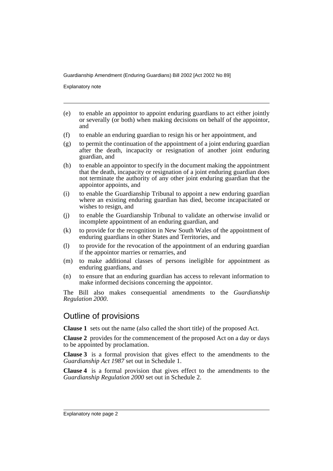Explanatory note

- (e) to enable an appointor to appoint enduring guardians to act either jointly or severally (or both) when making decisions on behalf of the appointor, and
- (f) to enable an enduring guardian to resign his or her appointment, and
- $(g)$  to permit the continuation of the appointment of a joint enduring guardian after the death, incapacity or resignation of another joint enduring guardian, and
- (h) to enable an appointor to specify in the document making the appointment that the death, incapacity or resignation of a joint enduring guardian does not terminate the authority of any other joint enduring guardian that the appointor appoints, and
- (i) to enable the Guardianship Tribunal to appoint a new enduring guardian where an existing enduring guardian has died, become incapacitated or wishes to resign, and
- (j) to enable the Guardianship Tribunal to validate an otherwise invalid or incomplete appointment of an enduring guardian, and
- (k) to provide for the recognition in New South Wales of the appointment of enduring guardians in other States and Territories, and
- (l) to provide for the revocation of the appointment of an enduring guardian if the appointor marries or remarries, and
- (m) to make additional classes of persons ineligible for appointment as enduring guardians, and
- (n) to ensure that an enduring guardian has access to relevant information to make informed decisions concerning the appointor.

The Bill also makes consequential amendments to the *Guardianship Regulation 2000*.

#### Outline of provisions

**Clause 1** sets out the name (also called the short title) of the proposed Act.

**Clause 2** provides for the commencement of the proposed Act on a day or days to be appointed by proclamation.

**Clause 3** is a formal provision that gives effect to the amendments to the *Guardianship Act 1987* set out in Schedule 1.

**Clause 4** is a formal provision that gives effect to the amendments to the *Guardianship Regulation 2000* set out in Schedule 2.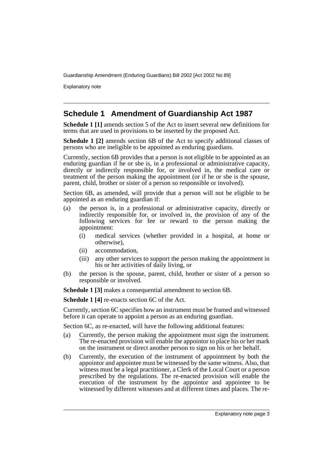Explanatory note

#### **Schedule 1 Amendment of Guardianship Act 1987**

**Schedule 1 [1]** amends section 5 of the Act to insert several new definitions for terms that are used in provisions to be inserted by the proposed Act.

**Schedule 1 [2]** amends section 6B of the Act to specify additional classes of persons who are ineligible to be appointed as enduring guardians.

Currently, section 6B provides that a person is not eligible to be appointed as an enduring guardian if he or she is, in a professional or administrative capacity, directly or indirectly responsible for, or involved in, the medical care or treatment of the person making the appointment (or if he or she is the spouse, parent, child, brother or sister of a person so responsible or involved).

Section 6B, as amended, will provide that a person will not be eligible to be appointed as an enduring guardian if:

- (a) the person is, in a professional or administrative capacity, directly or indirectly responsible for, or involved in, the provision of any of the following services for fee or reward to the person making the appointment:
	- (i) medical services (whether provided in a hospital, at home or otherwise),
	- (ii) accommodation,
	- (iii) any other services to support the person making the appointment in his or her activities of daily living, or
- (b) the person is the spouse, parent, child, brother or sister of a person so responsible or involved.

**Schedule 1 [3]** makes a consequential amendment to section 6B.

**Schedule 1 [4]** re-enacts section 6C of the Act.

Currently, section 6C specifies how an instrument must be framed and witnessed before it can operate to appoint a person as an enduring guardian.

Section 6C, as re-enacted, will have the following additional features:

- (a) Currently, the person making the appointment must sign the instrument. The re-enacted provision will enable the appointor to place his or her mark on the instrument or direct another person to sign on his or her behalf.
- (b) Currently, the execution of the instrument of appointment by both the appointor and appointee must be witnessed by the same witness. Also, that witness must be a legal practitioner, a Clerk of the Local Court or a person prescribed by the regulations. The re-enacted provision will enable the execution of the instrument by the appointor and appointee to be witnessed by different witnesses and at different times and places. The re-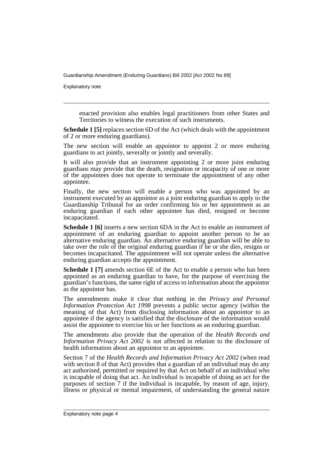Explanatory note

enacted provision also enables legal practitioners from other States and Territories to witness the execution of such instruments.

**Schedule 1 [5]** replaces section 6D of the Act (which deals with the appointment of 2 or more enduring guardians).

The new section will enable an appointor to appoint 2 or more enduring guardians to act jointly, severally or jointly and severally.

It will also provide that an instrument appointing 2 or more joint enduring guardians may provide that the death, resignation or incapacity of one or more of the appointees does not operate to terminate the appointment of any other appointee.

Finally, the new section will enable a person who was appointed by an instrument executed by an appointor as a joint enduring guardian to apply to the Guardianship Tribunal for an order confirming his or her appointment as an enduring guardian if each other appointee has died, resigned or become incapacitated.

**Schedule 1 [6]** inserts a new section 6DA in the Act to enable an instrument of appointment of an enduring guardian to appoint another person to be an alternative enduring guardian. An alternative enduring guardian will be able to take over the role of the original enduring guardian if he or she dies, resigns or becomes incapacitated. The appointment will not operate unless the alternative enduring guardian accepts the appointment.

**Schedule 1 [7]** amends section 6E of the Act to enable a person who has been appointed as an enduring guardian to have, for the purpose of exercising the guardian's functions, the same right of access to information about the appointor as the appointor has.

The amendments make it clear that nothing in the *Privacy and Personal Information Protection Act 1998* prevents a public sector agency (within the meaning of that Act) from disclosing information about an appointor to an appointee if the agency is satisfied that the disclosure of the information would assist the appointee to exercise his or her functions as an enduring guardian.

The amendments also provide that the operation of the *Health Records and Information Privacy Act 2002* is not affected in relation to the disclosure of health information about an appointor to an appointee.

Section 7 of the *Health Records and Information Privacy Act 2002* (when read with section 8 of that Act) provides that a guardian of an individual may do any act authorised, permitted or required by that Act on behalf of an individual who is incapable of doing that act. An individual is incapable of doing an act for the purposes of section 7 if the individual is incapable, by reason of age, injury, illness or physical or mental impairment, of understanding the general nature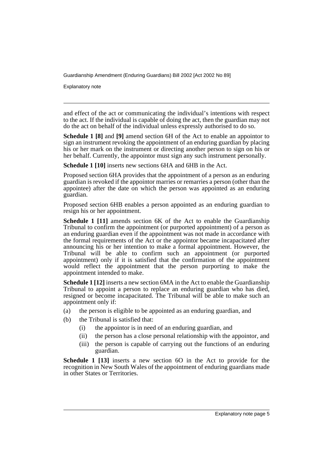Explanatory note

and effect of the act or communicating the individual's intentions with respect to the act. If the individual is capable of doing the act, then the guardian may not do the act on behalf of the individual unless expressly authorised to do so.

**Schedule 1 [8]** and **[9]** amend section 6H of the Act to enable an appointor to sign an instrument revoking the appointment of an enduring guardian by placing his or her mark on the instrument or directing another person to sign on his or her behalf. Currently, the appointor must sign any such instrument personally.

**Schedule 1 [10]** inserts new sections 6HA and 6HB in the Act.

Proposed section 6HA provides that the appointment of a person as an enduring guardian is revoked if the appointor marries or remarries a person (other than the appointee) after the date on which the person was appointed as an enduring guardian.

Proposed section 6HB enables a person appointed as an enduring guardian to resign his or her appointment.

**Schedule 1 [11]** amends section 6K of the Act to enable the Guardianship Tribunal to confirm the appointment (or purported appointment) of a person as an enduring guardian even if the appointment was not made in accordance with the formal requirements of the Act or the appointor became incapacitated after announcing his or her intention to make a formal appointment. However, the Tribunal will be able to confirm such an appointment (or purported appointment) only if it is satisfied that the confirmation of the appointment would reflect the appointment that the person purporting to make the appointment intended to make.

**Schedule 1 [12]** inserts a new section 6MA in the Act to enable the Guardianship Tribunal to appoint a person to replace an enduring guardian who has died, resigned or become incapacitated. The Tribunal will be able to make such an appointment only if:

- (a) the person is eligible to be appointed as an enduring guardian, and
- (b) the Tribunal is satisfied that:
	- (i) the appointor is in need of an enduring guardian, and
	- (ii) the person has a close personal relationship with the appointor, and
	- (iii) the person is capable of carrying out the functions of an enduring guardian.

**Schedule 1 [13]** inserts a new section 60 in the Act to provide for the recognition in New South Wales of the appointment of enduring guardians made in other States or Territories.